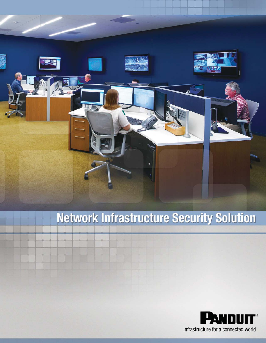

# **Network Infrastructure Security Solution**

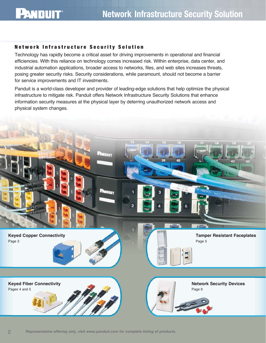

#### Network Infrastructure Security Solution

Technology has rapidly become a critical asset for driving improvements in operational and financial efficiencies. With this reliance on technology comes increased risk. Within enterprise, data center, and industrial automation applications, broader access to networks, files, and web sites increases threats, posing greater security risks. Security considerations, while paramount, should not become a barrier for service improvements and IT investments.

Panduit is a world-class developer and provider of leading-edge solutions that help optimize the physical infrastructure to mitigate risk. Panduit offers Network Infrastructure Security Solutions that enhance information security measures at the physical layer by deterring unauthorized network access and physical system changes.

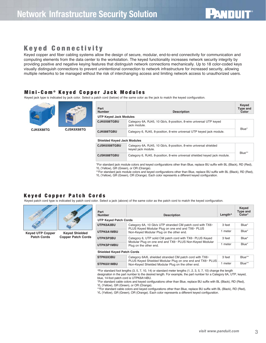## Keyed Connectivity

Keyed copper and fiber cabling systems allow the design of secure, modular, end-to-end connectivity for communication and computing elements from the data center to the workstation. The keyed functionality increases network security integrity by providing positive and negative keying features that distinguish network connections mechanically. Up to 18 color-coded keys visually distinguish connections to prevent unintentional connection to network infrastructure for increased security, allowing multiple networks to be managed without the risk of interchanging access and limiting network access to unauthorized users.

#### Mini-Com ® Keyed Copper Jack Modules

Keyed jack type is indicated by jack color. Select a patch cord (below) of the same color as the jack to match the keyed configuration.



**CJK6X88TG CJSK6X88TG**

| Part<br><b>Number</b>         | <b>Description</b>                                                                 | Keyed<br>Type and<br>Color |  |
|-------------------------------|------------------------------------------------------------------------------------|----------------------------|--|
| <b>UTP Keyed Jack Modules</b> |                                                                                    |                            |  |
| CJK6X88TGBU                   | Category 6A, RJ45, 10 Gb/s, 8-position, 8-wire universal UTP keyed<br>jack module. |                            |  |
| CJK688TGBU                    | Category 6, RJ45, 8-position, 8-wire universal UTP keyed jack module.              | Blue*                      |  |

#### **Shielded Keyed Jack Modules**

| CJSK6X88TGBU<br>Category 6A, RJ45, 10 Gb/s, 8-position, 8-wire universal shielded<br>keyed jack module.<br>Blue** |  |
|-------------------------------------------------------------------------------------------------------------------|--|
| Category 6, RJ45, 8-position, 8-wire universal shielded keyed jack module.<br>CJSK688TGBU                         |  |

\*For standard jack module colors and keyed configurations other than Blue, replace BU suffix with BL (Black), RD (Red), YL (Yellow), GR (Green), or OR (Orange).

\*\*For standard jack module colors and keyed configurations other than Blue, replace BU suffix with BL (Black), RD (Red), YL (Yellow), GR (Green), OR (Orange). Each color represents a different keyed configuration.

#### Keyed Copper Patch Cords

Keyed patch cord type is indicated by patch cord color. Select a jack (above) of the same color as the patch cord to match the keyed configuration.



**Keyed UTP Copper Patch Cords**



**Copper Patch Cords**

| Part<br><b>Number</b>             | <b>Description</b>                                                                                                                                                                 | Length <sup>^</sup> | Keyed<br><b>Type and</b><br>Color* |  |
|-----------------------------------|------------------------------------------------------------------------------------------------------------------------------------------------------------------------------------|---------------------|------------------------------------|--|
| <b>UTP Keyed Patch Cords</b>      |                                                                                                                                                                                    |                     |                                    |  |
| UTPK6A3BU                         | Category 6A, 10 Gb/s UTP stranded CM patch cord with TX6 <sup>-1</sup><br>PLUS Keyed Modular Plug on one end and TX6 <sup>-</sup> PLUS<br>Non-Keyed Modular Plug on the other end. | 3 feet              | Blue*                              |  |
| UTPK6A1MBU                        |                                                                                                                                                                                    | 1 meter             | Blue*                              |  |
| UTPKSP3BU                         | Category 6, UTP solid CM patch cord with TX6 <sup>-</sup> PLUS Keyed<br>Modular Plug on one end and TX6 <sup>*</sup> PLUS Non-Keyed Modular                                        | 3 feet              | Blue*                              |  |
| UTPKSP1MBU                        | Plug on the other end.                                                                                                                                                             | 1 meter             | Blue*                              |  |
| <b>Shielded Keyed Patch Cords</b> |                                                                                                                                                                                    |                     |                                    |  |

| <b>STPK6X3BU</b>  | Category 6A/6, shielded stranded CM patch cord with TX6 <sup>™</sup><br>PLUS Keyed Shielded Modular Plug on one end and TX6 <sup>™</sup> PLUS<br>Non-Keved Shielded Modular Plug on the other end. | 3 feet | Blue** |
|-------------------|----------------------------------------------------------------------------------------------------------------------------------------------------------------------------------------------------|--------|--------|
| <b>STPK6X1MBU</b> |                                                                                                                                                                                                    | meter  | Blue** |

^For standard foot lengths (3, 5, 7, 10, 14) or standard meter lengths (1, 2, 3, 5, 7, 10) change the length designation in the part number to the desired length. For example, the part number for a Category 6A, UTP, keyed, blue, 14-foot patch cord is UTPK6A14BU.

\*For standard cable colors and keyed configurations other than Blue, replace BU suffix with BL (Black), RD (Red), YL (Yellow), GR (Green), or OR (Orange).

\*\*For standard cable colors and keyed configurations other than Blue, replace BU suffix with BL (Black), RD (Red),

YL (Yellow), GR (Green), OR (Orange). Each color represents a different keyed configuration.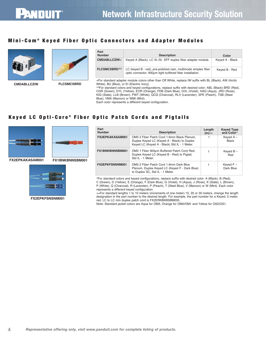#### Mini-Com ® Keyed Fiber Optic Connectors and Adapter Modules



**CMDABLLCZIW FLCSMCXBRD**



**The Time** 

| Part<br><b>Number</b> | <b>Description</b>                                                                                                               | Color           |
|-----------------------|----------------------------------------------------------------------------------------------------------------------------------|-----------------|
| CMDABLLCZIW+          | Keyed A (Black), LC Sr./Sr. SFF duplex fiber adapter module.                                                                     | Keyed A - Black |
| <b>FLCSMCXBRD^^</b>   | LC (keyed B - red), pre-polished cam, multimode simplex fiber<br>optic connector; 900 $\mu$ m tight buffered fiber installation. | Keved B - Red   |

+For standard adapter module colors other than Off White, replace IW suffix with BL (Black), AW (Arctic White), BU (Blue), or EI (Electric Ivory).

^^For standard colors and keyed configurations, replace suffix with desired color: ABL (Black) BRD (Red), CGR (Green), DYL (Yellow), EOR (Orange), FDB (Dark Blue), GVL (Violet), HAQ (Aqua), JRO (Rose), KIG (Slate), LLB (Brown), PWT (White), QCG (Charcoal), RLV (Lavender), SPE (Peach), TSB (Steel Blue), VMA (Maroon) or WMI (Mint).

Each color represents a different keyed configuration.

#### Keyed LC Opti-Core® Fiber Optic Patch Cords and Pigtails





**FX2EPKFSNSNM001**

| Part<br><b>Number</b>  | <b>Description</b>                                                                                                                        | Length<br>$(m)_{++}$ | <b>Keyed Type</b><br>and Color <sup>^</sup> |
|------------------------|-------------------------------------------------------------------------------------------------------------------------------------------|----------------------|---------------------------------------------|
| FX2EPKAKASAM001        | OM3 2 Fiber Patch Cord 1.6mm Black Plenum.<br>Duplex Keyed LC (Keyed A - Black) to Duplex<br>Keyed LC (Keyed A - Black) Std IL - 1 Meter. |                      | Keyed $A -$<br>Black                        |
| <b>FX1BNKBNNSBM001</b> | OM3 1 Fiber 900 $\mu$ m Buffered Patch Cord Red,<br>Duplex Keyed LC (Keyed B - Red) to Pigtail,<br>Std II - 1 Meter                       |                      | Keyed $B -$<br>Red                          |
| <b>FX2EPKFSNSNM001</b> | OM3 2 Fiber Patch Cord 1.6mm Dark Blue<br>Plenum, Duplex Keyed LC (Keyed F - Dark Blue)<br>to Duplex SC, Std IL - 1 Meter.                |                      | Keyed $F -$<br>Dark Blue                    |

^For standard colors and keyed configurations, replace suffix with desired color: A (Black), B (Red), C (Green), D (Yellow), E (Orange), F (Dark Blue), G (Violet), H (Aqua), J (Rose), K (Slate), L (Brown), P (White), Q (Charcoal), R (Lavender), P (Peach), T (Steel Blue), V (Maroon) or W (Mint). Each color represents a different keyed configuration.

++For standard lengths 1 to 10 meters (increments of one meter) 15, 20 or 30 meters, change the length designation in the part number to the desired length. For example, the part number for a Keyed, 5 meter, red, LC to LC mm duplex patch cord is FX2ERKBKBSBM005.

Note: Standard jacket colors are Aqua for OM3, Orange for OM2/OM1 and Yellow for OS2/OS1.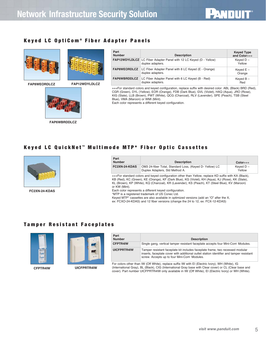#### Keyed LC OptiCom ® Fiber Adapter Panels



**FAP8WEORDLCZ FAP12WDYLDLCZ**



**Part Description FAP8WEORDLCZ** LC Fiber Adapter Panel with 8 LC Keyed (E - Orange) duplex adapters. **FAP6WBRDDLCZ** LC Fiber Adapter Panel with 6 LC Keyed (B - Red) duplex adapters. **FAP12WDYLDLCZ** LC Fiber Adapter Panel with 12 LC Keyed (D - Yellow) duplex adapters. **Keyed Type and Color**+++ Keyed D – Yellow Keyed E – Orange Keyed B – Red

 $\blacksquare$ 

+++For standard colors and keyed configuration, replace suffix with desired color: ABL (Black) BRD (Red), CGR (Green), DYL (Yellow), EOR (Orange), FDB (Dark Blue), GVL (Violet), HAQ (Aqua), JRO (Rose), KIG (Slate), LLB (Brown), PWT (White), QCG (Charcoal), RLV (Lavender), SPE (Peach), TSB (Steel Blue), VMA (Maroon) or WMI (Mint).

Each color represents a different keyed configuration.

Keyed LC QuickNet™ Multimode MTP\* Fiber Optic Cassettes



**FC2XN-24-KDAS**

| Part<br><b>Number</b>                                                                                                                                                                                                                                                                                                                                                                                                                                                                                                                                                                                                 | <b>Description</b>                                                                       | $Color++$             |
|-----------------------------------------------------------------------------------------------------------------------------------------------------------------------------------------------------------------------------------------------------------------------------------------------------------------------------------------------------------------------------------------------------------------------------------------------------------------------------------------------------------------------------------------------------------------------------------------------------------------------|------------------------------------------------------------------------------------------|-----------------------|
| <b>FC2XN-24-KDAS</b>                                                                                                                                                                                                                                                                                                                                                                                                                                                                                                                                                                                                  | OM3 24-fiber Total, Standard Loss, (Keyed D-Yellow) LC<br>Duplex Adapters, Std Method A. | Keyed $D -$<br>Yellow |
| +++For standard colors and keyed configuration other than Yellow, replace KD suffix with KA (Black),<br>KB (Red), KC (Green), KE (Orange), KF (Dark Blue), KG (Violet), KH (Aqua), KJ (Rose), KK (Slate),<br>KL (Brown), KP (White), KQ (Charcoal), KR (Lavender), KS (Peach), KT (Steel Blue), KV (Maroon)<br>or KW (Mint).<br>Each color represents a different keyed configuration.<br>*MTP is a registered trademark of US Conec Ltd.<br>Keved MTP* cassettes are also available in optimized versions (add an "O" after the X,<br>ex: FCXO-24-KDAS) and 12 fiber versions (change the 24 to 12, ex: FCX-12-KDAS) |                                                                                          |                       |

#### Tamper Resistant Faceplates



**CFPTR4IW UICFPRTR4IW**

| Part<br><b>Number</b> | <b>Description</b>                                                                                                                                                                                                                   |
|-----------------------|--------------------------------------------------------------------------------------------------------------------------------------------------------------------------------------------------------------------------------------|
| <b>CFPTR4IW</b>       | Single gang, vertical tamper resistant faceplate accepts four Mini-Com Modules.                                                                                                                                                      |
| UICFPRTR4IW           | Tamper resistant faceplate kit includes faceplate frame, two recessed modular<br>inserts, faceplate cover with additional outlet station identifier and tamper resistant<br>screw. Accepts up to four Mini-Com <sup>®</sup> Modules. |

For colors other than IW (Off White), replace suffix IW with EI (Electric Ivory), WH (White), IG (International Gray), BL (Black), CIG (International Gray base with Clear cover) or CL (Clear base and cover). Part number UICFPRTR4IW only available in IW (Off White), EI (Electric Ivory) or WH (White).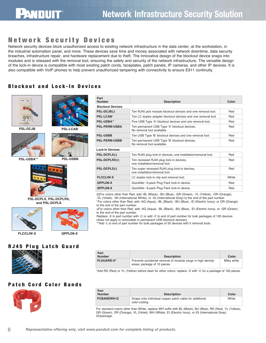

## Network Security Devices

Network security devices block unauthorized access to existing network infrastructure in the data center, at the workstation, in the industrial automation panel, and more. These devices save time and money associated with network downtime, data security breaches, infrastructure repair, and hardware replacement due to theft. The innovative design of the blockout device snaps into modules and is released with the removal tool, ensuring the safety and security of the network infrastructure. The versatile design of the lock-in device is compatible with most existing patch cords, faceplates, patch panels, IP cameras, and other IP devices. It is also compatible with VoIP phones to help prevent unauthorized tampering with connectivity to ensure E911 continuity.

#### Blockout and Lock-In Devices



**PSL-DCJB PSL-LCAB**



**PSL-USBA\*\* PSL-USBB**



**PSL-DCPLX, PSL-DCPLRX, and PSL-DCPLS**





**FLCCLIW-X QPPLD6-X**

### RJ45 Plug Latch Guard



| Part<br><b>Number</b> | <b>Description</b>                                                                           | Color       |
|-----------------------|----------------------------------------------------------------------------------------------|-------------|
| PLGUARD-X*            | Prevents accidental removal of modular plugs in high density<br>areas; package of 10 pieces. | Milky white |

\*Add RD (Red) or YL (Yellow) before dash for other colors; replace -X with -C for a package of 100 pieces

#### Patch Cord Color Bands



| Part<br><b>Number</b> | <b>Description</b>                                                       | Color |
|-----------------------|--------------------------------------------------------------------------|-------|
| <b>PCBANDWH-Q</b>     | Snaps onto individual copper patch cable for additional<br>color-coding. | White |

For standard colors other than White, replace WH suffix with BL (Black), BU (Blue), RD (Red), YL (Yellow), GR (Green), OR (Orange), VL (Violet), WH (White), EI (Electric Ivory), or IG (International Gray). 25/package.

| Part<br><b>Number</b>   | <b>Description</b>                                                              | Color |
|-------------------------|---------------------------------------------------------------------------------|-------|
| <b>Blockout Devices</b> |                                                                                 |       |
| <b>PSL-DCJB##</b>       | Ten RJ45 jack module blockout devices and one removal tool.                     | Red   |
| <b>PSL-LCAB*</b>        | Ten LC duplex adapter blockout devices and one removal tool.                    | Red   |
| <b>PSL-USBA**</b>       | Five USB Type 'A' blockout devices and one removal tool.                        | Red   |
| <b>PSL-PERM-USBA</b>    | Ten permanent USB Type 'A' blockout devices.<br>No removal tool available.      | Red   |
| <b>PSL-USBB</b>         | Ten USB Type 'B' blockout devices and one removal tool.                         | Red   |
| <b>PSL-PERM-USBB</b>    | Ten permanent USB Type 'B' blockout devices.<br>No removal tool available.      | Red   |
| <b>Lock-In Devices</b>  |                                                                                 |       |
| <b>PSL-DCPLX##</b>      | Ten RJ45 plug lock-in devices, one installation/removal tool.                   | Red   |
| <b>PSL-DCPLRX##</b>     | Ten recessed RJ45 plug lock-in devices,<br>one installation/removal tool        | Red   |
| PSL-DCPLS##             | Ten super recessed RJ45 plug lock-in devices,<br>one installation/removal tool. | Red   |
| <b>FLCCLIW-X</b>        | LC duplex lock-in clip and removal tool.                                        | White |
| <b>QPPLD6-X</b>         | QuickNet <sup>™</sup> 6-pack Plug Pack lock-in device.                          | Red   |
| <b>QPPLD8-X</b>         | QuickNet <sup>™</sup> 8-pack Plug Pack lock-in device.                          | Red   |

‡‡For colors other than Red, add -BL (Black), -BU (Blue), -GR (Green), -YL (Yellow), -OR (Orange), -VL (Violet), -IW (International White), or -IG (International Gray) to the end of the part number. \*For colors other than Red, add -AQ (Aqua), -BL (Black), -BU (Blue), -EI (Electric Ivory), or OR (Orange) to the end of the part number.

±For colors other than Red, add -AQ (Aqua), -BL (Black), -BU (Blue), -EI (Electric Ivory), or -GR (Green) to the end of the part number.

Replace -X in part number with -C or add -C to end of part number for bulk packages of 100 devices (does not apply to removable or permanent USB blockout devices).

\*Add -L to end of part number for bulk packages of 50 devices with 5 removal tools.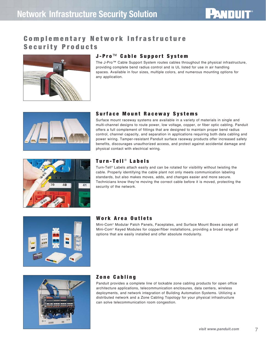## Complementary Network Infrastructure Security Products



#### J-Pro ™ Cable Support System

The J-Pro™ Cable Support System routes cables throughout the physical infrastructure, providing complete bend radius control and is UL listed for use in air handling spaces. Available in four sizes, multiple colors, and numerous mounting options for any application.



#### Surface Mount Raceway Systems

Surface mount raceway systems are available in a variety of materials in single and multi-channel designs to route power, low voltage, copper, or fiber optic cabling. Panduit offers a full complement of fittings that are designed to maintain proper bend radius control, channel capacity, and separation in applications requiring both data cabling and power wiring. Tamper-resistant Panduit surface raceway products offer increased safety benefits, discourages unauthorized access, and protect against accidental damage and physical contact with electrical wiring.



#### Turn-Tell ® Labels

Turn-Tell® Labels attach easily and can be rotated for visibility without twisting the cable. Properly identifying the cable plant not only meets communication labeling standards, but also makes moves, adds, and changes easier and more secure. Technicians know they're moving the correct cable before it is moved, protecting the security of the network.



#### Work Area Outlets

Mini-Com® Modular Patch Panels, Faceplates, and Surface Mount Boxes accept all Mini-Com® Keyed Modules for copper/fiber installations, providing a broad range of options that are easily installed and offer absolute modularity.



#### Zone Cabling

Panduit provides a complete line of lockable zone cabling products for open office architecture applications, telecommunication enclosures, data centers, wireless deployments, and network integration of Building Automation Systems. Utilizing a distributed network and a Zone Cabling Topology for your physical infrastructure can solve telecommunication room congestion.